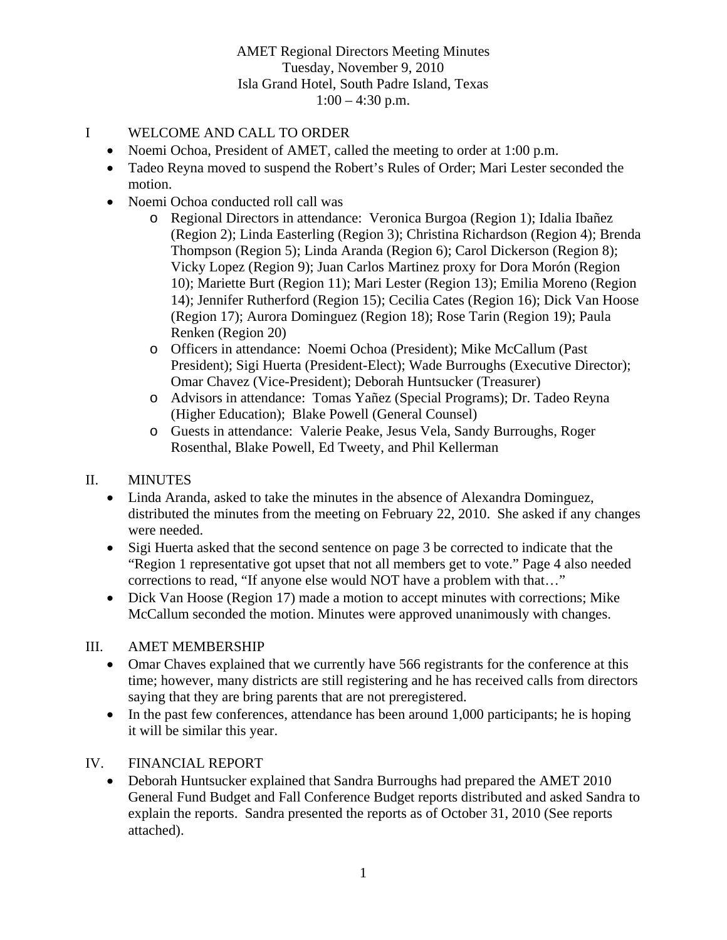# I WELCOME AND CALL TO ORDER

- Noemi Ochoa, President of AMET, called the meeting to order at 1:00 p.m.
- Tadeo Reyna moved to suspend the Robert's Rules of Order; Mari Lester seconded the motion.
- Noemi Ochoa conducted roll call was
	- o Regional Directors in attendance: Veronica Burgoa (Region 1); Idalia Ibañez (Region 2); Linda Easterling (Region 3); Christina Richardson (Region 4); Brenda Thompson (Region 5); Linda Aranda (Region 6); Carol Dickerson (Region 8); Vicky Lopez (Region 9); Juan Carlos Martinez proxy for Dora Morón (Region 10); Mariette Burt (Region 11); Mari Lester (Region 13); Emilia Moreno (Region 14); Jennifer Rutherford (Region 15); Cecilia Cates (Region 16); Dick Van Hoose (Region 17); Aurora Dominguez (Region 18); Rose Tarin (Region 19); Paula Renken (Region 20)
	- o Officers in attendance: Noemi Ochoa (President); Mike McCallum (Past President); Sigi Huerta (President-Elect); Wade Burroughs (Executive Director); Omar Chavez (Vice-President); Deborah Huntsucker (Treasurer)
	- o Advisors in attendance: Tomas Yañez (Special Programs); Dr. Tadeo Reyna (Higher Education); Blake Powell (General Counsel)
	- o Guests in attendance: Valerie Peake, Jesus Vela, Sandy Burroughs, Roger Rosenthal, Blake Powell, Ed Tweety, and Phil Kellerman

# II. MINUTES

- Linda Aranda, asked to take the minutes in the absence of Alexandra Dominguez, distributed the minutes from the meeting on February 22, 2010. She asked if any changes were needed.
- Sigi Huerta asked that the second sentence on page 3 be corrected to indicate that the "Region 1 representative got upset that not all members get to vote." Page 4 also needed corrections to read, "If anyone else would NOT have a problem with that…"
- Dick Van Hoose (Region 17) made a motion to accept minutes with corrections; Mike McCallum seconded the motion. Minutes were approved unanimously with changes.

# III. AMET MEMBERSHIP

- Omar Chaves explained that we currently have 566 registrants for the conference at this time; however, many districts are still registering and he has received calls from directors saying that they are bring parents that are not preregistered.
- In the past few conferences, attendance has been around 1,000 participants; he is hoping it will be similar this year.

# IV. FINANCIAL REPORT

 Deborah Huntsucker explained that Sandra Burroughs had prepared the AMET 2010 General Fund Budget and Fall Conference Budget reports distributed and asked Sandra to explain the reports. Sandra presented the reports as of October 31, 2010 (See reports attached).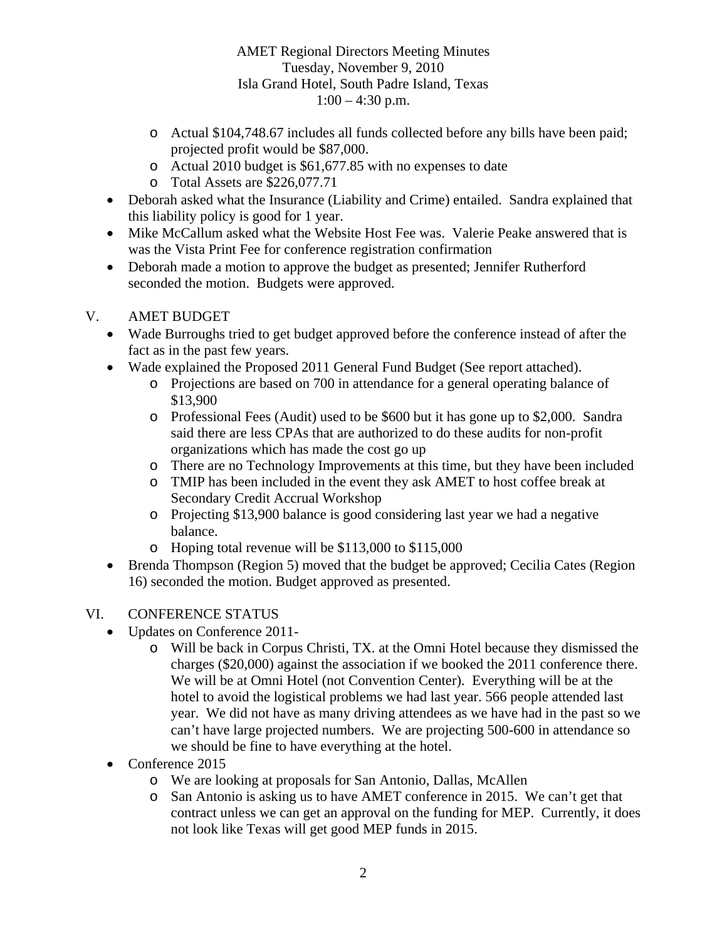- o Actual \$104,748.67 includes all funds collected before any bills have been paid; projected profit would be \$87,000.
- o Actual 2010 budget is \$61,677.85 with no expenses to date
- o Total Assets are \$226,077.71
- Deborah asked what the Insurance (Liability and Crime) entailed. Sandra explained that this liability policy is good for 1 year.
- Mike McCallum asked what the Website Host Fee was. Valerie Peake answered that is was the Vista Print Fee for conference registration confirmation
- Deborah made a motion to approve the budget as presented; Jennifer Rutherford seconded the motion. Budgets were approved.

# V. AMET BUDGET

- Wade Burroughs tried to get budget approved before the conference instead of after the fact as in the past few years.
- Wade explained the Proposed 2011 General Fund Budget (See report attached).
	- o Projections are based on 700 in attendance for a general operating balance of \$13,900
	- o Professional Fees (Audit) used to be \$600 but it has gone up to \$2,000. Sandra said there are less CPAs that are authorized to do these audits for non-profit organizations which has made the cost go up
	- o There are no Technology Improvements at this time, but they have been included
	- o TMIP has been included in the event they ask AMET to host coffee break at Secondary Credit Accrual Workshop
	- o Projecting \$13,900 balance is good considering last year we had a negative balance.
	- o Hoping total revenue will be \$113,000 to \$115,000
- Brenda Thompson (Region 5) moved that the budget be approved; Cecilia Cates (Region 16) seconded the motion. Budget approved as presented.

# VI. CONFERENCE STATUS

- Updates on Conference 2011
	- o Will be back in Corpus Christi, TX. at the Omni Hotel because they dismissed the charges (\$20,000) against the association if we booked the 2011 conference there. We will be at Omni Hotel (not Convention Center). Everything will be at the hotel to avoid the logistical problems we had last year. 566 people attended last year. We did not have as many driving attendees as we have had in the past so we can't have large projected numbers. We are projecting 500-600 in attendance so we should be fine to have everything at the hotel.
- Conference 2015
	- o We are looking at proposals for San Antonio, Dallas, McAllen
	- o San Antonio is asking us to have AMET conference in 2015. We can't get that contract unless we can get an approval on the funding for MEP. Currently, it does not look like Texas will get good MEP funds in 2015.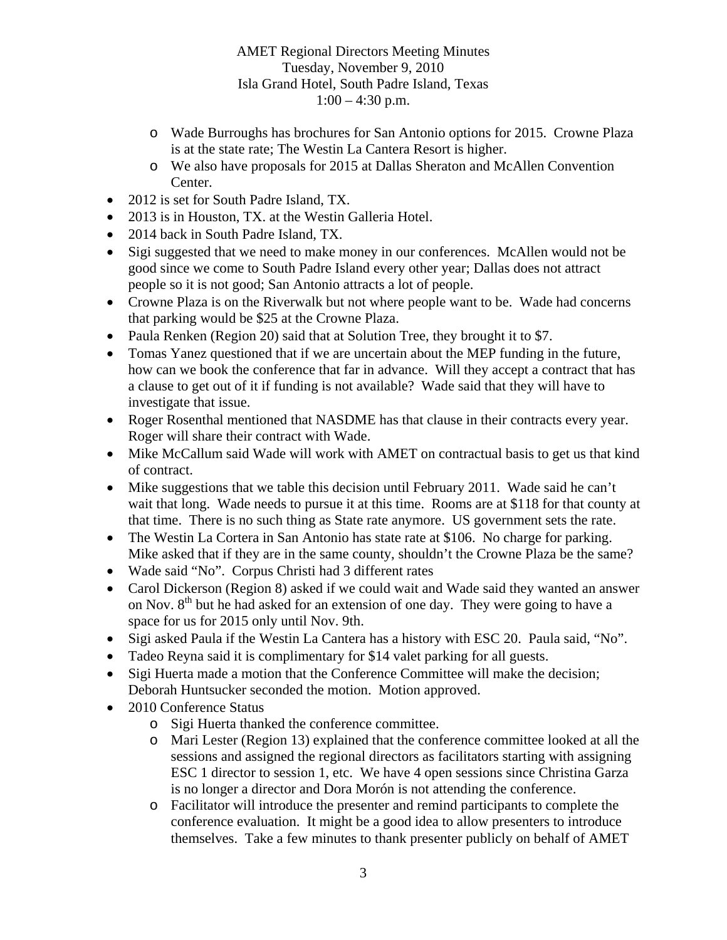- o Wade Burroughs has brochures for San Antonio options for 2015. Crowne Plaza is at the state rate; The Westin La Cantera Resort is higher.
- o We also have proposals for 2015 at Dallas Sheraton and McAllen Convention Center.
- 2012 is set for South Padre Island, TX.
- 2013 is in Houston, TX, at the Westin Galleria Hotel.
- 2014 back in South Padre Island, TX.
- Sigi suggested that we need to make money in our conferences. McAllen would not be good since we come to South Padre Island every other year; Dallas does not attract people so it is not good; San Antonio attracts a lot of people.
- Crowne Plaza is on the Riverwalk but not where people want to be. Wade had concerns that parking would be \$25 at the Crowne Plaza.
- Paula Renken (Region 20) said that at Solution Tree, they brought it to \$7.
- Tomas Yanez questioned that if we are uncertain about the MEP funding in the future, how can we book the conference that far in advance. Will they accept a contract that has a clause to get out of it if funding is not available? Wade said that they will have to investigate that issue.
- Roger Rosenthal mentioned that NASDME has that clause in their contracts every year. Roger will share their contract with Wade.
- Mike McCallum said Wade will work with AMET on contractual basis to get us that kind of contract.
- Mike suggestions that we table this decision until February 2011. Wade said he can't wait that long. Wade needs to pursue it at this time. Rooms are at \$118 for that county at that time. There is no such thing as State rate anymore. US government sets the rate.
- The Westin La Cortera in San Antonio has state rate at \$106. No charge for parking. Mike asked that if they are in the same county, shouldn't the Crowne Plaza be the same?
- Wade said "No". Corpus Christi had 3 different rates
- Carol Dickerson (Region 8) asked if we could wait and Wade said they wanted an answer on Nov.  $8<sup>th</sup>$  but he had asked for an extension of one day. They were going to have a space for us for 2015 only until Nov. 9th.
- Sigi asked Paula if the Westin La Cantera has a history with ESC 20. Paula said, "No".
- Tadeo Reyna said it is complimentary for \$14 valet parking for all guests.
- Sigi Huerta made a motion that the Conference Committee will make the decision; Deborah Huntsucker seconded the motion. Motion approved.
- 2010 Conference Status
	- o Sigi Huerta thanked the conference committee.
	- o Mari Lester (Region 13) explained that the conference committee looked at all the sessions and assigned the regional directors as facilitators starting with assigning ESC 1 director to session 1, etc. We have 4 open sessions since Christina Garza is no longer a director and Dora Morón is not attending the conference.
	- o Facilitator will introduce the presenter and remind participants to complete the conference evaluation. It might be a good idea to allow presenters to introduce themselves. Take a few minutes to thank presenter publicly on behalf of AMET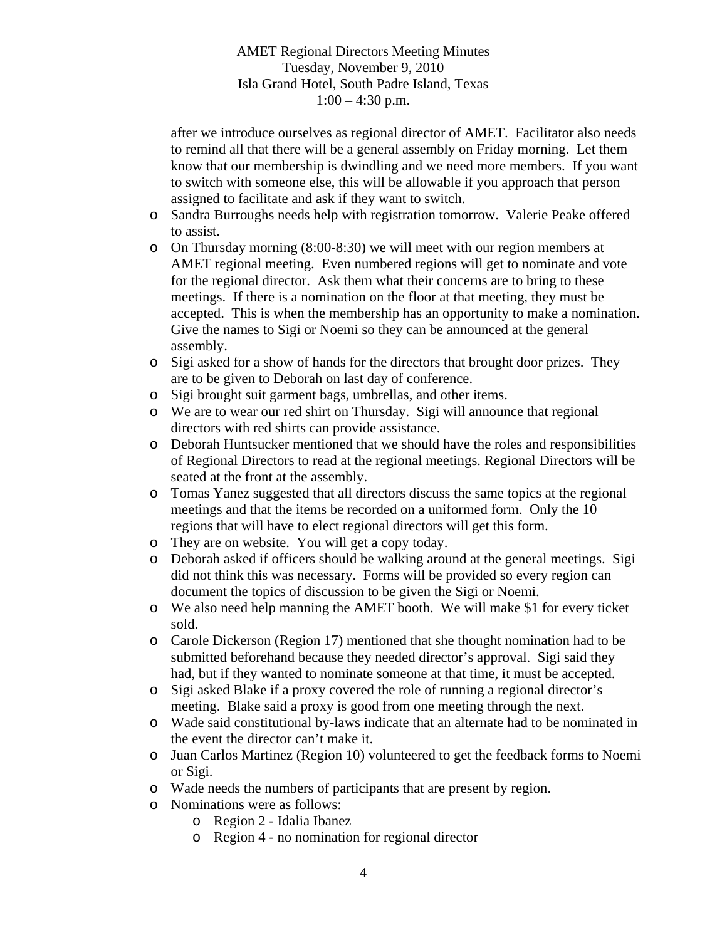after we introduce ourselves as regional director of AMET. Facilitator also needs to remind all that there will be a general assembly on Friday morning. Let them know that our membership is dwindling and we need more members. If you want to switch with someone else, this will be allowable if you approach that person assigned to facilitate and ask if they want to switch.

- o Sandra Burroughs needs help with registration tomorrow. Valerie Peake offered to assist.
- o On Thursday morning (8:00-8:30) we will meet with our region members at AMET regional meeting. Even numbered regions will get to nominate and vote for the regional director. Ask them what their concerns are to bring to these meetings. If there is a nomination on the floor at that meeting, they must be accepted. This is when the membership has an opportunity to make a nomination. Give the names to Sigi or Noemi so they can be announced at the general assembly.
- o Sigi asked for a show of hands for the directors that brought door prizes. They are to be given to Deborah on last day of conference.
- o Sigi brought suit garment bags, umbrellas, and other items.
- o We are to wear our red shirt on Thursday. Sigi will announce that regional directors with red shirts can provide assistance.
- o Deborah Huntsucker mentioned that we should have the roles and responsibilities of Regional Directors to read at the regional meetings. Regional Directors will be seated at the front at the assembly.
- o Tomas Yanez suggested that all directors discuss the same topics at the regional meetings and that the items be recorded on a uniformed form. Only the 10 regions that will have to elect regional directors will get this form.
- o They are on website. You will get a copy today.
- o Deborah asked if officers should be walking around at the general meetings. Sigi did not think this was necessary. Forms will be provided so every region can document the topics of discussion to be given the Sigi or Noemi.
- o We also need help manning the AMET booth. We will make \$1 for every ticket sold.
- o Carole Dickerson (Region 17) mentioned that she thought nomination had to be submitted beforehand because they needed director's approval. Sigi said they had, but if they wanted to nominate someone at that time, it must be accepted.
- o Sigi asked Blake if a proxy covered the role of running a regional director's meeting. Blake said a proxy is good from one meeting through the next.
- o Wade said constitutional by-laws indicate that an alternate had to be nominated in the event the director can't make it.
- o Juan Carlos Martinez (Region 10) volunteered to get the feedback forms to Noemi or Sigi.
- o Wade needs the numbers of participants that are present by region.
- o Nominations were as follows:
	- o Region 2 Idalia Ibanez
	- o Region 4 no nomination for regional director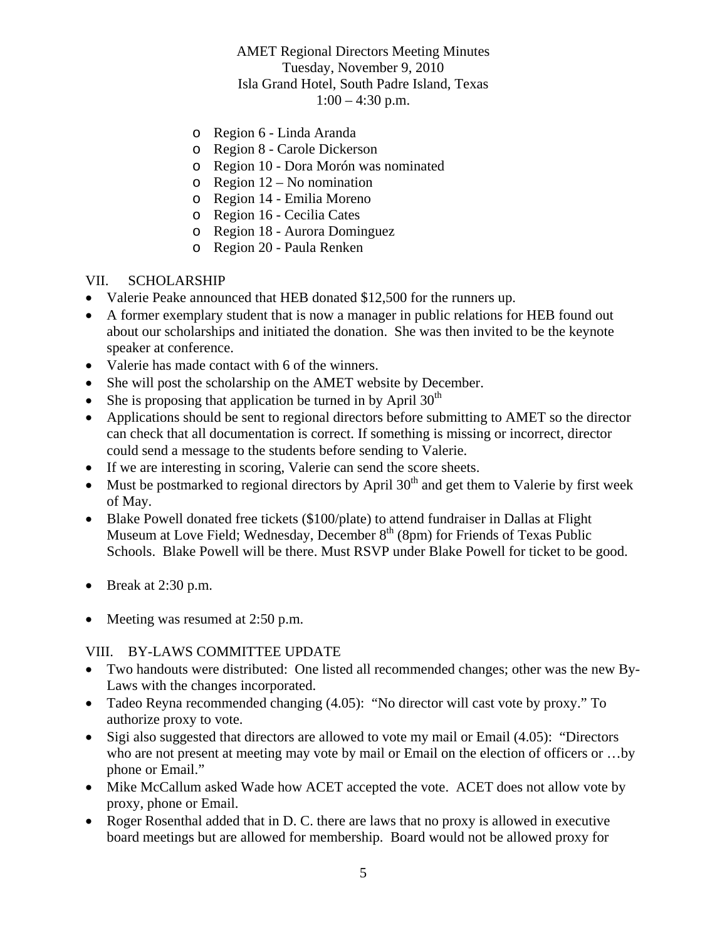- o Region 6 Linda Aranda
- o Region 8 Carole Dickerson
- o Region 10 Dora Morón was nominated
- o Region 12 No nomination
- o Region 14 Emilia Moreno
- o Region 16 Cecilia Cates
- o Region 18 Aurora Dominguez
- o Region 20 Paula Renken

### VII. SCHOLARSHIP

- Valerie Peake announced that HEB donated \$12,500 for the runners up.
- A former exemplary student that is now a manager in public relations for HEB found out about our scholarships and initiated the donation. She was then invited to be the keynote speaker at conference.
- Valerie has made contact with 6 of the winners.
- She will post the scholarship on the AMET website by December.
- She is proposing that application be turned in by April  $30<sup>th</sup>$
- Applications should be sent to regional directors before submitting to AMET so the director can check that all documentation is correct. If something is missing or incorrect, director could send a message to the students before sending to Valerie.
- If we are interesting in scoring, Valerie can send the score sheets.
- Must be postmarked to regional directors by April  $30<sup>th</sup>$  and get them to Valerie by first week of May.
- Blake Powell donated free tickets (\$100/plate) to attend fundraiser in Dallas at Flight Museum at Love Field; Wednesday, December 8<sup>th</sup> (8pm) for Friends of Texas Public Schools. Blake Powell will be there. Must RSVP under Blake Powell for ticket to be good.
- $\bullet$  Break at 2:30 p.m.
- Meeting was resumed at 2:50 p.m.

#### VIII. BY-LAWS COMMITTEE UPDATE

- Two handouts were distributed: One listed all recommended changes; other was the new By-Laws with the changes incorporated.
- Tadeo Reyna recommended changing (4.05): "No director will cast vote by proxy." To authorize proxy to vote.
- Sigi also suggested that directors are allowed to vote my mail or Email (4.05): "Directors who are not present at meeting may vote by mail or Email on the election of officers or …by phone or Email."
- Mike McCallum asked Wade how ACET accepted the vote. ACET does not allow vote by proxy, phone or Email.
- Roger Rosenthal added that in D. C. there are laws that no proxy is allowed in executive board meetings but are allowed for membership. Board would not be allowed proxy for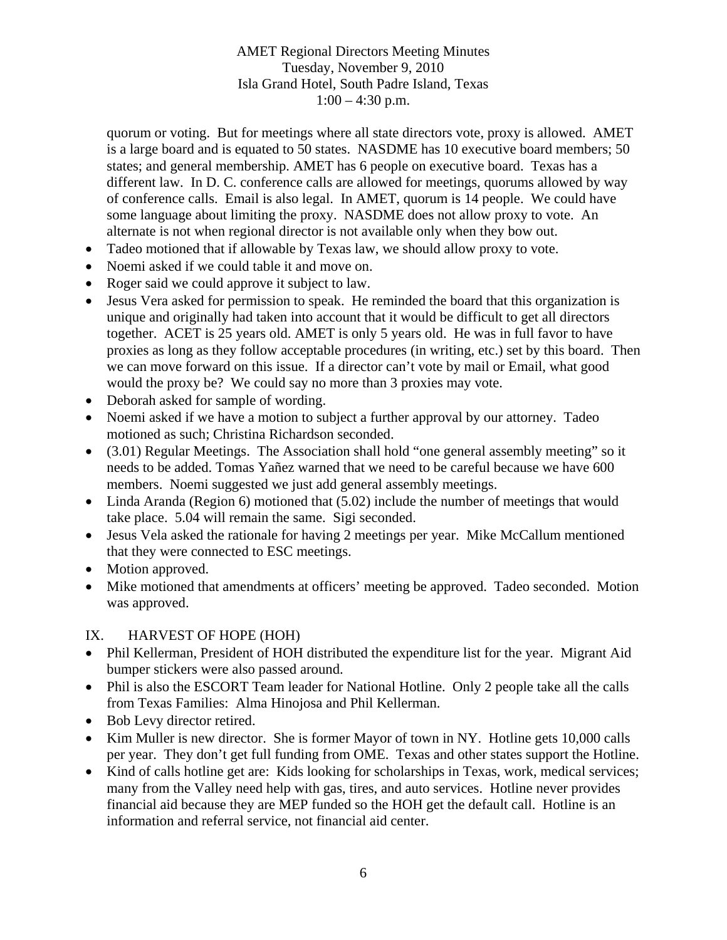quorum or voting. But for meetings where all state directors vote, proxy is allowed. AMET is a large board and is equated to 50 states. NASDME has 10 executive board members; 50 states; and general membership. AMET has 6 people on executive board. Texas has a different law. In D. C. conference calls are allowed for meetings, quorums allowed by way of conference calls. Email is also legal. In AMET, quorum is 14 people. We could have some language about limiting the proxy. NASDME does not allow proxy to vote. An alternate is not when regional director is not available only when they bow out.

- Tadeo motioned that if allowable by Texas law, we should allow proxy to vote.
- Noemi asked if we could table it and move on.
- Roger said we could approve it subject to law.
- Jesus Vera asked for permission to speak. He reminded the board that this organization is unique and originally had taken into account that it would be difficult to get all directors together. ACET is 25 years old. AMET is only 5 years old. He was in full favor to have proxies as long as they follow acceptable procedures (in writing, etc.) set by this board. Then we can move forward on this issue. If a director can't vote by mail or Email, what good would the proxy be? We could say no more than 3 proxies may vote.
- Deborah asked for sample of wording.
- Noemi asked if we have a motion to subject a further approval by our attorney. Tadeo motioned as such; Christina Richardson seconded.
- (3.01) Regular Meetings. The Association shall hold "one general assembly meeting" so it needs to be added. Tomas Yañez warned that we need to be careful because we have 600 members. Noemi suggested we just add general assembly meetings.
- Linda Aranda (Region 6) motioned that (5.02) include the number of meetings that would take place. 5.04 will remain the same. Sigi seconded.
- Jesus Vela asked the rationale for having 2 meetings per year. Mike McCallum mentioned that they were connected to ESC meetings.
- Motion approved.
- Mike motioned that amendments at officers' meeting be approved. Tadeo seconded. Motion was approved.

#### IX. HARVEST OF HOPE (HOH)

- Phil Kellerman, President of HOH distributed the expenditure list for the year. Migrant Aid bumper stickers were also passed around.
- Phil is also the ESCORT Team leader for National Hotline. Only 2 people take all the calls from Texas Families: Alma Hinojosa and Phil Kellerman.
- Bob Levy director retired.
- Kim Muller is new director. She is former Mayor of town in NY. Hotline gets 10,000 calls per year. They don't get full funding from OME. Texas and other states support the Hotline.
- Kind of calls hotline get are: Kids looking for scholarships in Texas, work, medical services; many from the Valley need help with gas, tires, and auto services. Hotline never provides financial aid because they are MEP funded so the HOH get the default call. Hotline is an information and referral service, not financial aid center.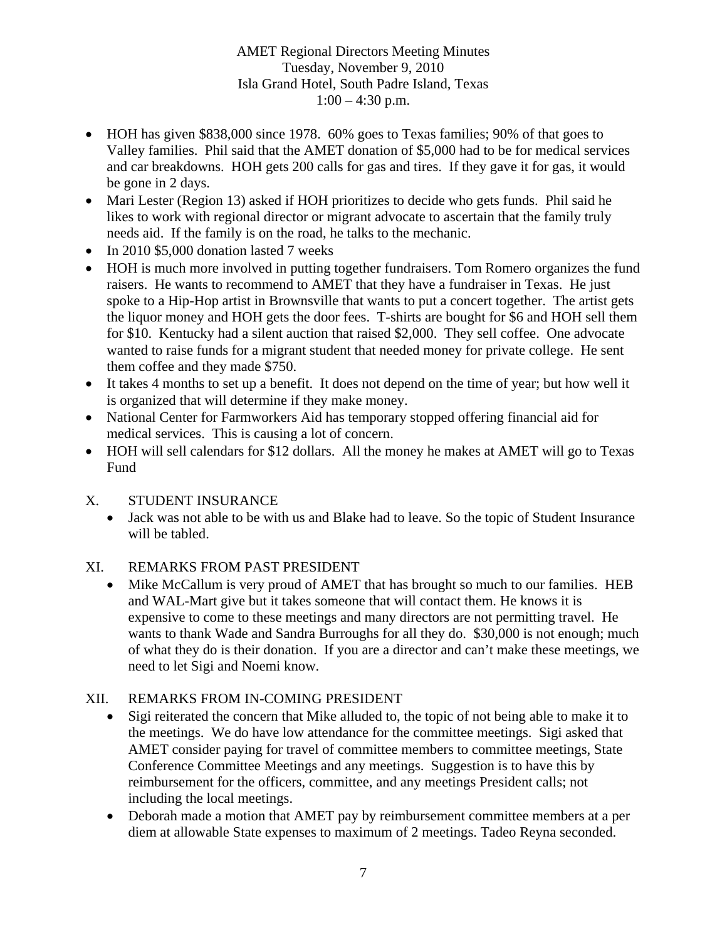- HOH has given \$838,000 since 1978. 60% goes to Texas families; 90% of that goes to Valley families. Phil said that the AMET donation of \$5,000 had to be for medical services and car breakdowns. HOH gets 200 calls for gas and tires. If they gave it for gas, it would be gone in 2 days.
- Mari Lester (Region 13) asked if HOH prioritizes to decide who gets funds. Phil said he likes to work with regional director or migrant advocate to ascertain that the family truly needs aid. If the family is on the road, he talks to the mechanic.
- In 2010 \$5,000 donation lasted 7 weeks
- HOH is much more involved in putting together fundraisers. Tom Romero organizes the fund raisers. He wants to recommend to AMET that they have a fundraiser in Texas. He just spoke to a Hip-Hop artist in Brownsville that wants to put a concert together. The artist gets the liquor money and HOH gets the door fees. T-shirts are bought for \$6 and HOH sell them for \$10. Kentucky had a silent auction that raised \$2,000. They sell coffee. One advocate wanted to raise funds for a migrant student that needed money for private college. He sent them coffee and they made \$750.
- It takes 4 months to set up a benefit. It does not depend on the time of year; but how well it is organized that will determine if they make money.
- National Center for Farmworkers Aid has temporary stopped offering financial aid for medical services. This is causing a lot of concern.
- HOH will sell calendars for \$12 dollars. All the money he makes at AMET will go to Texas Fund
- X. STUDENT INSURANCE
	- Jack was not able to be with us and Blake had to leave. So the topic of Student Insurance will be tabled.

# XI. REMARKS FROM PAST PRESIDENT

• Mike McCallum is very proud of AMET that has brought so much to our families. HEB and WAL-Mart give but it takes someone that will contact them. He knows it is expensive to come to these meetings and many directors are not permitting travel. He wants to thank Wade and Sandra Burroughs for all they do. \$30,000 is not enough; much of what they do is their donation. If you are a director and can't make these meetings, we need to let Sigi and Noemi know.

# XII. REMARKS FROM IN-COMING PRESIDENT

- Sigi reiterated the concern that Mike alluded to, the topic of not being able to make it to the meetings. We do have low attendance for the committee meetings. Sigi asked that AMET consider paying for travel of committee members to committee meetings, State Conference Committee Meetings and any meetings. Suggestion is to have this by reimbursement for the officers, committee, and any meetings President calls; not including the local meetings.
- Deborah made a motion that AMET pay by reimbursement committee members at a per diem at allowable State expenses to maximum of 2 meetings. Tadeo Reyna seconded.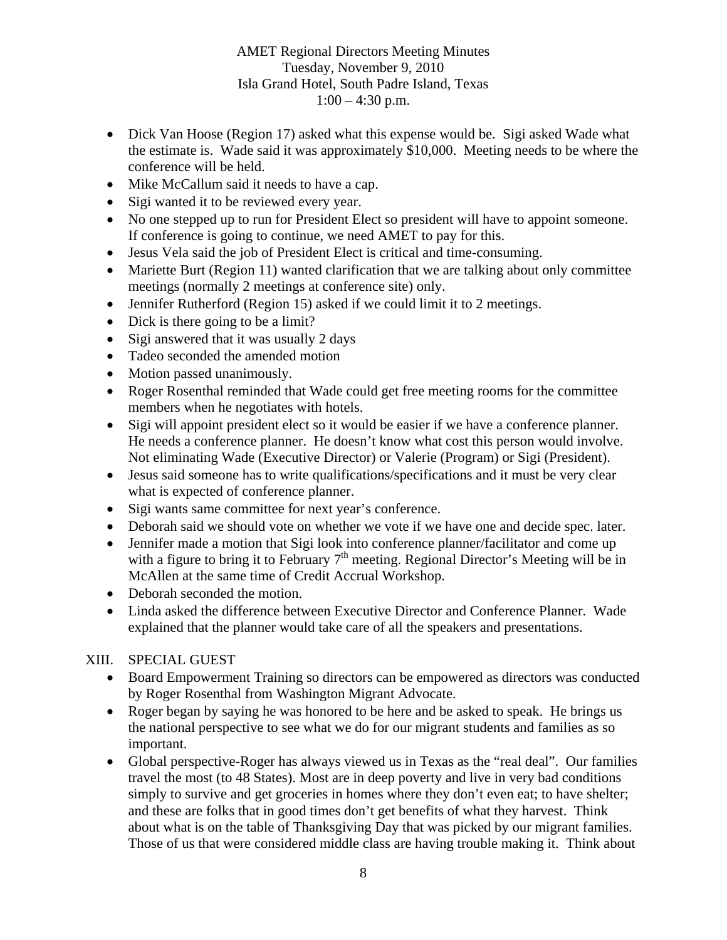- Dick Van Hoose (Region 17) asked what this expense would be. Sigi asked Wade what the estimate is. Wade said it was approximately \$10,000. Meeting needs to be where the conference will be held.
- Mike McCallum said it needs to have a cap.
- Sigi wanted it to be reviewed every year.
- No one stepped up to run for President Elect so president will have to appoint someone. If conference is going to continue, we need AMET to pay for this.
- Jesus Vela said the job of President Elect is critical and time-consuming.
- Mariette Burt (Region 11) wanted clarification that we are talking about only committee meetings (normally 2 meetings at conference site) only.
- Jennifer Rutherford (Region 15) asked if we could limit it to 2 meetings.
- Dick is there going to be a limit?
- Sigi answered that it was usually 2 days
- Tadeo seconded the amended motion
- Motion passed unanimously.
- Roger Rosenthal reminded that Wade could get free meeting rooms for the committee members when he negotiates with hotels.
- Sigi will appoint president elect so it would be easier if we have a conference planner. He needs a conference planner. He doesn't know what cost this person would involve. Not eliminating Wade (Executive Director) or Valerie (Program) or Sigi (President).
- Jesus said someone has to write qualifications/specifications and it must be very clear what is expected of conference planner.
- Sigi wants same committee for next year's conference.
- Deborah said we should vote on whether we vote if we have one and decide spec. later.
- Jennifer made a motion that Sigi look into conference planner/facilitator and come up with a figure to bring it to February  $7<sup>th</sup>$  meeting. Regional Director's Meeting will be in McAllen at the same time of Credit Accrual Workshop.
- Deborah seconded the motion.
- Linda asked the difference between Executive Director and Conference Planner. Wade explained that the planner would take care of all the speakers and presentations.

#### XIII. SPECIAL GUEST

- Board Empowerment Training so directors can be empowered as directors was conducted by Roger Rosenthal from Washington Migrant Advocate.
- Roger began by saying he was honored to be here and be asked to speak. He brings us the national perspective to see what we do for our migrant students and families as so important.
- Global perspective-Roger has always viewed us in Texas as the "real deal". Our families travel the most (to 48 States). Most are in deep poverty and live in very bad conditions simply to survive and get groceries in homes where they don't even eat; to have shelter; and these are folks that in good times don't get benefits of what they harvest. Think about what is on the table of Thanksgiving Day that was picked by our migrant families. Those of us that were considered middle class are having trouble making it. Think about